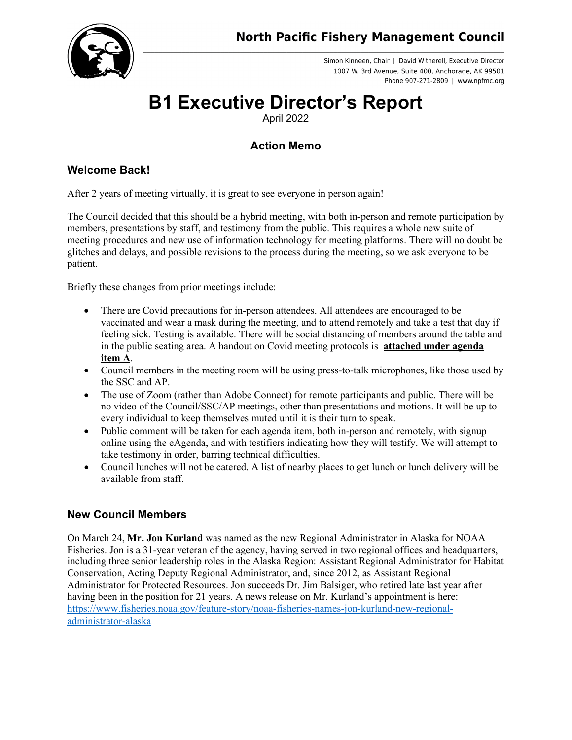

Simon Kinneen, Chair | David Witherell, Executive Director 1007 W. 3rd Avenue, Suite 400, Anchorage, AK 99501 Phone 907-271-2809 | www.npfmc.org

# **B1 Executive Director's Report**

April 2022

## **Action Memo**

## **Welcome Back!**

After 2 years of meeting virtually, it is great to see everyone in person again!

The Council decided that this should be a hybrid meeting, with both in-person and remote participation by members, presentations by staff, and testimony from the public. This requires a whole new suite of meeting procedures and new use of information technology for meeting platforms. There will no doubt be glitches and delays, and possible revisions to the process during the meeting, so we ask everyone to be patient.

Briefly these changes from prior meetings include:

- There are Covid precautions for in-person attendees. All attendees are encouraged to be vaccinated and wear a mask during the meeting, and to attend remotely and take a test that day if feeling sick. Testing is available. There will be social distancing of members around the table and in the public seating area. A handout on Covid meeting protocols is **attached under agenda item A**.
- Council members in the meeting room will be using press-to-talk microphones, like those used by the SSC and AP.
- The use of Zoom (rather than Adobe Connect) for remote participants and public. There will be no video of the Council/SSC/AP meetings, other than presentations and motions. It will be up to every individual to keep themselves muted until it is their turn to speak.
- Public comment will be taken for each agenda item, both in-person and remotely, with signup online using the eAgenda, and with testifiers indicating how they will testify. We will attempt to take testimony in order, barring technical difficulties.
- Council lunches will not be catered. A list of nearby places to get lunch or lunch delivery will be available from staff.

## **New Council Members**

On March 24, **Mr. Jon Kurland** was named as the new Regional Administrator in Alaska for NOAA Fisheries. Jon is a 31-year veteran of the agency, having served in two regional offices and headquarters, including three senior leadership roles in the Alaska Region: Assistant Regional Administrator for Habitat Conservation, Acting Deputy Regional Administrator, and, since 2012, as Assistant Regional Administrator for Protected Resources. Jon succeeds Dr. Jim Balsiger, who retired late last year after having been in the position for 21 years. A news release on Mr. Kurland's appointment is here: [https://www.fisheries.noaa.gov/feature-story/noaa-fisheries-names-jon-kurland-new-regional](https://www.fisheries.noaa.gov/feature-story/noaa-fisheries-names-jon-kurland-new-regional-administrator-alaska)[administrator-alaska](https://www.fisheries.noaa.gov/feature-story/noaa-fisheries-names-jon-kurland-new-regional-administrator-alaska)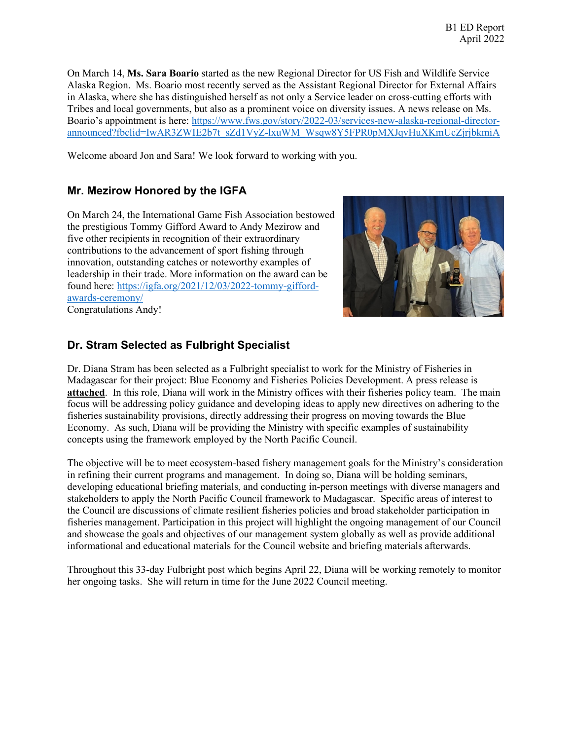On March 14, **Ms. Sara Boario** started as the new Regional Director for US Fish and Wildlife Service Alaska Region. Ms. Boario most recently served as the Assistant Regional Director for External Affairs in Alaska, where she has distinguished herself as not only a Service leader on cross-cutting efforts with Tribes and local governments, but also as a prominent voice on diversity issues. A news release on Ms. Boario's appointment is here: [https://www.fws.gov/story/2022-03/services-new-alaska-regional-director](https://www.fws.gov/story/2022-03/services-new-alaska-regional-director-announced?fbclid=IwAR3ZWIE2b7t_sZd1VyZ-lxuWM_Wsqw8Y5FPR0pMXJqvHuXKmUcZjrjbkmiA)[announced?fbclid=IwAR3ZWIE2b7t\\_sZd1VyZ-lxuWM\\_Wsqw8Y5FPR0pMXJqvHuXKmUcZjrjbkmiA](https://www.fws.gov/story/2022-03/services-new-alaska-regional-director-announced?fbclid=IwAR3ZWIE2b7t_sZd1VyZ-lxuWM_Wsqw8Y5FPR0pMXJqvHuXKmUcZjrjbkmiA)

Welcome aboard Jon and Sara! We look forward to working with you.

#### **Mr. Mezirow Honored by the IGFA**

On March 24, the International Game Fish Association bestowed the prestigious Tommy Gifford Award to Andy Mezirow and five other recipients in recognition of their extraordinary contributions to the advancement of sport fishing through innovation, outstanding catches or noteworthy examples of leadership in their trade. More information on the award can be found here: [https://igfa.org/2021/12/03/2022-tommy-gifford](https://igfa.org/2021/12/03/2022-tommy-gifford-awards-ceremony/)[awards-ceremony/](https://igfa.org/2021/12/03/2022-tommy-gifford-awards-ceremony/) Congratulations Andy!



#### **Dr. Stram Selected as Fulbright Specialist**

Dr. Diana Stram has been selected as a Fulbright specialist to work for the Ministry of Fisheries in Madagascar for their project: Blue Economy and Fisheries Policies Development. A press release is **attached**. In this role, Diana will work in the Ministry offices with their fisheries policy team. The main focus will be addressing policy guidance and developing ideas to apply new directives on adhering to the fisheries sustainability provisions, directly addressing their progress on moving towards the Blue Economy. As such, Diana will be providing the Ministry with specific examples of sustainability concepts using the framework employed by the North Pacific Council.

The objective will be to meet ecosystem-based fishery management goals for the Ministry's consideration in refining their current programs and management. In doing so, Diana will be holding seminars, developing educational briefing materials, and conducting in-person meetings with diverse managers and stakeholders to apply the North Pacific Council framework to Madagascar. Specific areas of interest to the Council are discussions of climate resilient fisheries policies and broad stakeholder participation in fisheries management. Participation in this project will highlight the ongoing management of our Council and showcase the goals and objectives of our management system globally as well as provide additional informational and educational materials for the Council website and briefing materials afterwards.

Throughout this 33-day Fulbright post which begins April 22, Diana will be working remotely to monitor her ongoing tasks. She will return in time for the June 2022 Council meeting.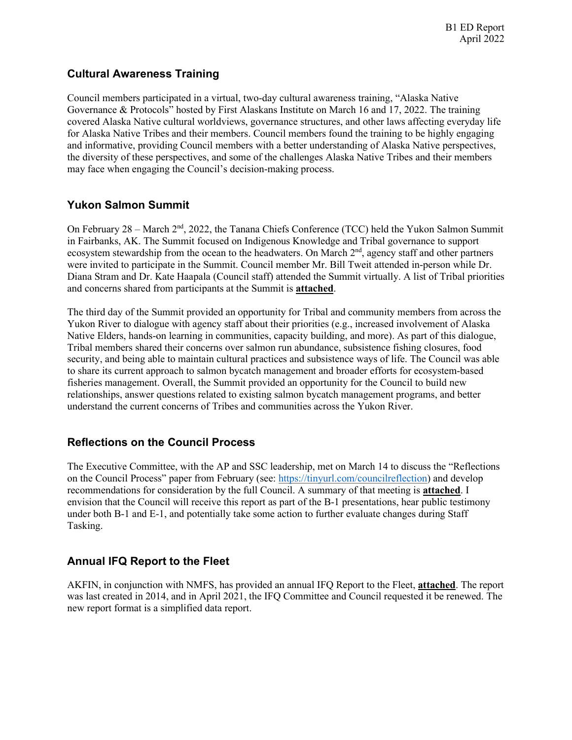#### **Cultural Awareness Training**

Council members participated in a virtual, two-day cultural awareness training, "Alaska Native Governance & Protocols" hosted by First Alaskans Institute on March 16 and 17, 2022. The training covered Alaska Native cultural worldviews, governance structures, and other laws affecting everyday life for Alaska Native Tribes and their members. Council members found the training to be highly engaging and informative, providing Council members with a better understanding of Alaska Native perspectives, the diversity of these perspectives, and some of the challenges Alaska Native Tribes and their members may face when engaging the Council's decision-making process.

#### **Yukon Salmon Summit**

On February 28 – March 2nd, 2022, the Tanana Chiefs Conference (TCC) held the Yukon Salmon Summit in Fairbanks, AK. The Summit focused on Indigenous Knowledge and Tribal governance to support ecosystem stewardship from the ocean to the headwaters. On March 2<sup>nd</sup>, agency staff and other partners were invited to participate in the Summit. Council member Mr. Bill Tweit attended in-person while Dr. Diana Stram and Dr. Kate Haapala (Council staff) attended the Summit virtually. A list of Tribal priorities and concerns shared from participants at the Summit is **attached**.

The third day of the Summit provided an opportunity for Tribal and community members from across the Yukon River to dialogue with agency staff about their priorities (e.g., increased involvement of Alaska Native Elders, hands-on learning in communities, capacity building, and more). As part of this dialogue, Tribal members shared their concerns over salmon run abundance, subsistence fishing closures, food security, and being able to maintain cultural practices and subsistence ways of life. The Council was able to share its current approach to salmon bycatch management and broader efforts for ecosystem-based fisheries management. Overall, the Summit provided an opportunity for the Council to build new relationships, answer questions related to existing salmon bycatch management programs, and better understand the current concerns of Tribes and communities across the Yukon River.

## **Reflections on the Council Process**

The Executive Committee, with the AP and SSC leadership, met on March 14 to discuss the "Reflections on the Council Process" paper from February (see: [https://tinyurl.com/councilreflection\)](https://tinyurl.com/councilreflection) and develop recommendations for consideration by the full Council. A summary of that meeting is **attached**. I envision that the Council will receive this report as part of the B-1 presentations, hear public testimony under both B-1 and E-1, and potentially take some action to further evaluate changes during Staff Tasking.

## **Annual IFQ Report to the Fleet**

AKFIN, in conjunction with NMFS, has provided an annual IFQ Report to the Fleet, **attached**. The report was last created in 2014, and in April 2021, the IFQ Committee and Council requested it be renewed. The new report format is a simplified data report.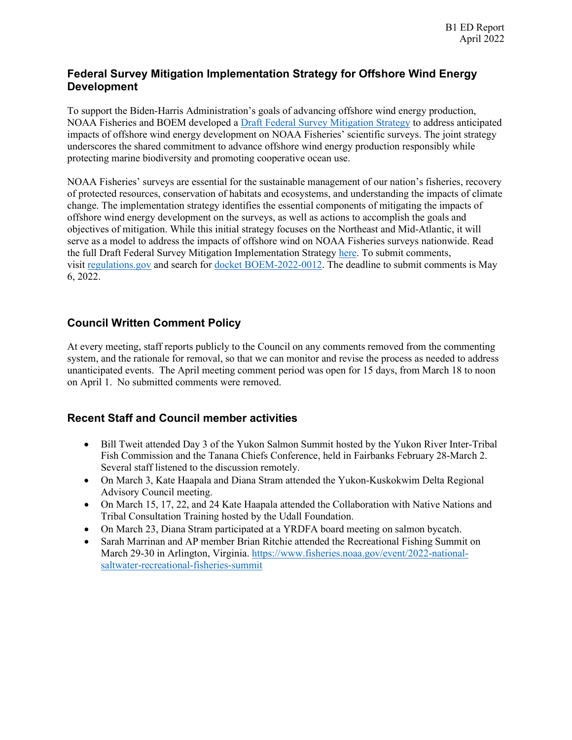#### **Federal Survey Mitigation Implementation Strategy for Offshore Wind Energy Development**

To support the Biden-Harris Administration's goals of advancing offshore wind energy production, NOAA Fisheries and BOEM developed a [Draft Federal Survey Mitigation Strategy](https://gcc02.safelinks.protection.outlook.com/?url=https%3A%2F%2Fwww.fisheries.noaa.gov%2Ffeature-story%2Fnoaa-fisheries-and-bureau-ocean-energy-management-announce-efforts-mitigate-impacts&data=04%7C01%7Ckarla.bush%40alaska.gov%7C3415efed181c4328a0d508da12770df6%7C20030bf67ad942f7927359ea83fcfa38%7C0%7C0%7C637842599790385314%7CUnknown%7CTWFpbGZsb3d8eyJWIjoiMC4wLjAwMDAiLCJQIjoiV2luMzIiLCJBTiI6Ik1haWwiLCJXVCI6Mn0%3D%7C3000&sdata=otk8pIDLZqdjug4xc94jfjN4WZ0fYsZr4xYHp%2B6o1Fs%3D&reserved=0) to address anticipated impacts of offshore wind energy development on NOAA Fisheries' scientific surveys. The joint strategy underscores the shared commitment to advance offshore wind energy production responsibly while protecting marine biodiversity and promoting cooperative ocean use.

NOAA Fisheries' surveys are essential for the sustainable management of our nation's fisheries, recovery of protected resources, conservation of habitats and ecosystems, and understanding the impacts of climate change. The implementation strategy identifies the essential components of mitigating the impacts of offshore wind energy development on the surveys, as well as actions to accomplish the goals and objectives of mitigation. While this initial strategy focuses on the Northeast and Mid-Atlantic, it will serve as a model to address the impacts of offshore wind on NOAA Fisheries surveys nationwide. Read the full Draft Federal Survey Mitigation Implementation Strategy [here.](https://gcc02.safelinks.protection.outlook.com/?url=https%3A%2F%2Fmedia.fisheries.noaa.gov%2F2022-03%2FNOAA%2520Fisheries-and-BOEM-Federal-Survey-Mitigation_Strategy_DRAFT_508.pdf&data=04%7C01%7Ckarla.bush%40alaska.gov%7C3415efed181c4328a0d508da12770df6%7C20030bf67ad942f7927359ea83fcfa38%7C0%7C0%7C637842599790385314%7CUnknown%7CTWFpbGZsb3d8eyJWIjoiMC4wLjAwMDAiLCJQIjoiV2luMzIiLCJBTiI6Ik1haWwiLCJXVCI6Mn0%3D%7C3000&sdata=u%2BTOo2V9YLt2ROWtStZbp9rpDElaZ933bcsaEsBgEus%3D&reserved=0) To submit comments, visit [regulations.gov](https://gcc02.safelinks.protection.outlook.com/?url=http%3A%2F%2Fregulations.gov%2F&data=04%7C01%7Ckarla.bush%40alaska.gov%7C3415efed181c4328a0d508da12770df6%7C20030bf67ad942f7927359ea83fcfa38%7C0%7C0%7C637842599790385314%7CUnknown%7CTWFpbGZsb3d8eyJWIjoiMC4wLjAwMDAiLCJQIjoiV2luMzIiLCJBTiI6Ik1haWwiLCJXVCI6Mn0%3D%7C3000&sdata=hwCc%2BtHgn0osJdAZ4PdcTSWRmj8%2FxkmztYCQ%2FDXlg3E%3D&reserved=0) and search for [docket BOEM-2022-0012.](https://gcc02.safelinks.protection.outlook.com/?url=https%3A%2F%2Fwww.regulations.gov%2Fdocket%2FBOEM-2022-0012&data=04%7C01%7Ckarla.bush%40alaska.gov%7C3415efed181c4328a0d508da12770df6%7C20030bf67ad942f7927359ea83fcfa38%7C0%7C0%7C637842599790385314%7CUnknown%7CTWFpbGZsb3d8eyJWIjoiMC4wLjAwMDAiLCJQIjoiV2luMzIiLCJBTiI6Ik1haWwiLCJXVCI6Mn0%3D%7C3000&sdata=oMGjxHwyVrdSJhiMd6zTt0KS3qWhxP7ukc3lC4PQCig%3D&reserved=0) The deadline to submit comments is May 6, 2022.

## **Council Written Comment Policy**

At every meeting, staff reports publicly to the Council on any comments removed from the commenting system, and the rationale for removal, so that we can monitor and revise the process as needed to address unanticipated events. The April meeting comment period was open for 15 days, from March 18 to noon on April 1. No submitted comments were removed.

## **Recent Staff and Council member activities**

- Bill Tweit attended Day 3 of the Yukon Salmon Summit hosted by the Yukon River Inter-Tribal Fish Commission and the Tanana Chiefs Conference, held in Fairbanks February 28-March 2. Several staff listened to the discussion remotely.
- On March 3, Kate Haapala and Diana Stram attended the Yukon-Kuskokwim Delta Regional Advisory Council meeting.
- On March 15, 17, 22, and 24 Kate Haapala attended the Collaboration with Native Nations and Tribal Consultation Training hosted by the Udall Foundation.
- On March 23, Diana Stram participated at a YRDFA board meeting on salmon bycatch.
- Sarah Marrinan and AP member Brian Ritchie attended the Recreational Fishing Summit on March 29-30 in Arlington, Virginia. [https://www.fisheries.noaa.gov/event/2022-national](https://www.fisheries.noaa.gov/event/2022-national-saltwater-recreational-fisheries-summit)[saltwater-recreational-fisheries-summit](https://www.fisheries.noaa.gov/event/2022-national-saltwater-recreational-fisheries-summit)